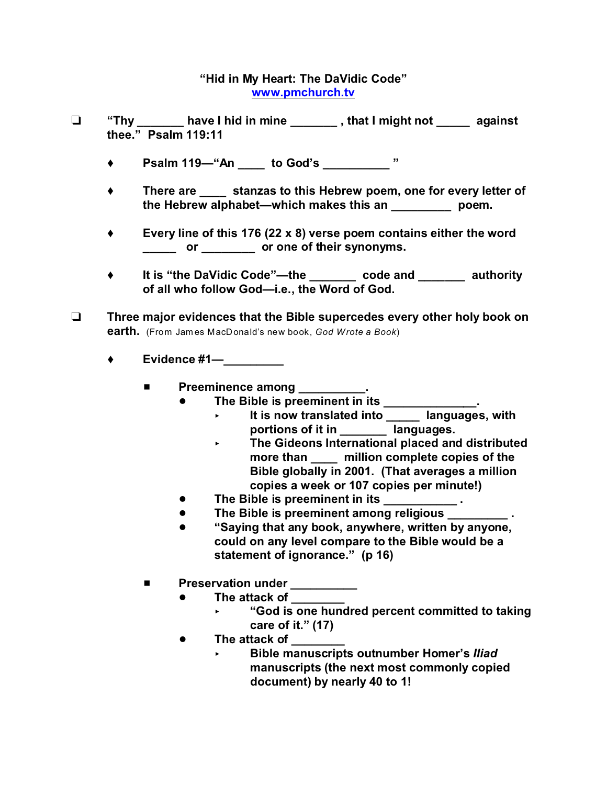## **"Hid in My Heart: The DaVidic Code" www.pmchurch.tv**

- **"Thy \_\_\_\_\_\_\_ have I hid in mine \_\_\_\_\_\_\_ , that I might not \_\_\_\_\_ against thee." Psalm 119:11**
	- ◆ Psalm 119—"An to God's "
	- **There are \_\_\_\_ stanzas to this Hebrew poem, one for every letter of the Hebrew alphabet—which makes this an \_\_\_\_\_\_\_\_\_ poem.**
	- **Every line of this 176 (22 x 8) verse poem contains either the word \_\_\_\_\_ or \_\_\_\_\_\_\_\_ or one of their synonyms.**
	- **It is "the DaVidic Code"—the \_\_\_\_\_\_\_ code and \_\_\_\_\_\_\_ authority of all who follow God—i.e., the Word of God.**
- **Three major evidences that the Bible supercedes every other holy book on earth.** (From Jam es MacDonald's new book, *God Wrote a Book*)
	- **Evidence #1—\_\_\_\_\_\_\_\_\_** 
		- **E** Preeminence among \_\_\_\_\_\_\_\_
			- The Bible is preeminent in its \_\_\_\_\_\_\_\_\_\_\_\_\_\_.
				- < **It is now translated into \_\_\_\_\_ languages, with portions of it in \_\_\_\_\_\_\_ languages.**
				- < **The Gideons International placed and distributed more than \_\_\_\_ million complete copies of the Bible globally in 2001. (That averages a million copies a week or 107 copies per minute!)**
			- ! **The Bible is preeminent in its \_\_\_\_\_\_\_\_\_\_\_ .**
			- **The Bible is preeminent among religious**
			- ! **"Saying that any book, anywhere, written by anyone, could on any level compare to the Bible would be a statement of ignorance." (p 16)**
		- **E** Preservation under \_\_\_\_\_\_\_\_
			- **•** The attack of
				- < **"God is one hundred percent committed to taking care of it." (17)**
			- **•** The attack of
				- < **Bible manuscripts outnumber Homer's** *Iliad* **manuscripts (the next most commonly copied document) by nearly 40 to 1!**